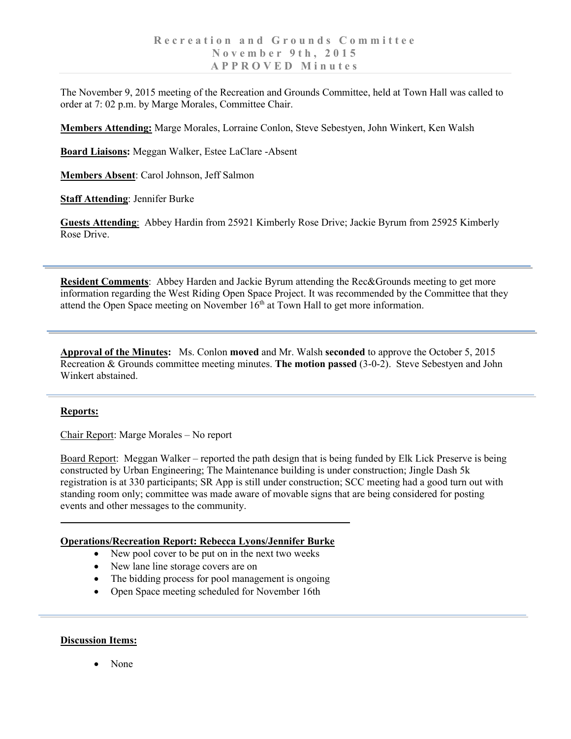The November 9, 2015 meeting of the Recreation and Grounds Committee, held at Town Hall was called to order at 7: 02 p.m. by Marge Morales, Committee Chair.

**Members Attending:** Marge Morales, Lorraine Conlon, Steve Sebestyen, John Winkert, Ken Walsh

**Board Liaisons:** Meggan Walker, Estee LaClare -Absent

**Members Absent**: Carol Johnson, Jeff Salmon

**Staff Attending**: Jennifer Burke

**Guests Attending**: Abbey Hardin from 25921 Kimberly Rose Drive; Jackie Byrum from 25925 Kimberly Rose Drive.

**Resident Comments**: Abbey Harden and Jackie Byrum attending the Rec&Grounds meeting to get more information regarding the West Riding Open Space Project. It was recommended by the Committee that they attend the Open Space meeting on November  $16<sup>th</sup>$  at Town Hall to get more information.

**Approval of the Minutes:** Ms. Conlon **moved** and Mr. Walsh **seconded** to approve the October 5, 2015 Recreation & Grounds committee meeting minutes. **The motion passed** (3-0-2). Steve Sebestyen and John Winkert abstained.

## **Reports:**

Chair Report: Marge Morales – No report

Board Report: Meggan Walker – reported the path design that is being funded by Elk Lick Preserve is being constructed by Urban Engineering; The Maintenance building is under construction; Jingle Dash 5k registration is at 330 participants; SR App is still under construction; SCC meeting had a good turn out with standing room only; committee was made aware of movable signs that are being considered for posting events and other messages to the community.

## **Operations/Recreation Report: Rebecca Lyons/Jennifer Burke**

- New pool cover to be put on in the next two weeks
- New lane line storage covers are on
- The bidding process for pool management is ongoing
- Open Space meeting scheduled for November 16th

## **Discussion Items:**

• None